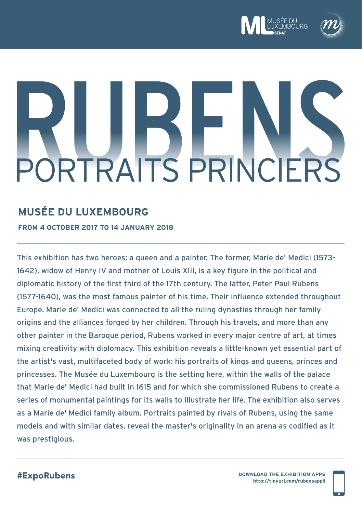



# **RTRAITS PRINCIERS**

# **MUSÉE DU LUXEMBOURG**

**FROM 4 OCTOBER 2017 TO 14 JANUARY 2018**

This exhibition has two heroes: a queen and a painter. The former, Marie de' Medici (1573- 1642), widow of Henry IV and mother of Louis XIII, is a key figure in the political and diplomatic history of the first third of the 17th century. The latter, Peter Paul Rubens (1577-1640), was the most famous painter of his time. Their influence extended throughout Europe. Marie de' Medici was connected to all the ruling dynasties through her family origins and the alliances forged by her children. Through his travels, and more than any other painter in the Baroque period, Rubens worked in every major centre of art, at times mixing creativity with diplomacy. This exhibition reveals a little-known yet essential part of the artist's vast, multifaceted body of work: his portraits of kings and queens, princes and princesses. The Musée du Luxembourg is the setting here, within the walls of the palace that Marie de' Medici had built in 1615 and for which she commissioned Rubens to create a series of monumental paintings for its walls to illustrate her life. The exhibition also serves as a Marie de' Medici family album. Portraits painted by rivals of Rubens, using the same models and with similar dates, reveal the master's originality in an arena as codified as it was prestigious.

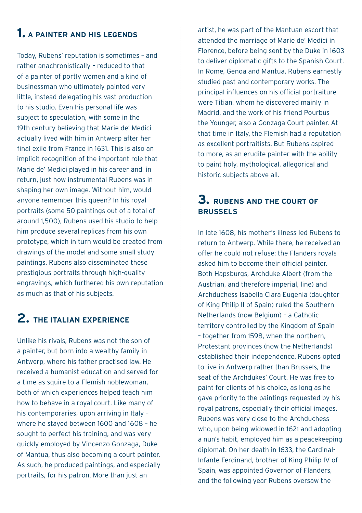# **1. A PAINTER AND HIS LEGENDS**

Today, Rubens' reputation is sometimes – and rather anachronistically – reduced to that of a painter of portly women and a kind of businessman who ultimately painted very little, instead delegating his vast production to his studio. Even his personal life was subject to speculation, with some in the 19th century believing that Marie de' Medici actually lived with him in Antwerp after her final exile from France in 1631. This is also an implicit recognition of the important role that Marie de' Medici played in his career and, in return, just how instrumental Rubens was in shaping her own image. Without him, would anyone remember this queen? In his royal portraits (some 50 paintings out of a total of around 1,500), Rubens used his studio to help him produce several replicas from his own prototype, which in turn would be created from drawings of the model and some small study paintings. Rubens also disseminated these prestigious portraits through high-quality engravings, which furthered his own reputation as much as that of his subjects.

# **2. THE ITALIAN EXPERIENCE**

Unlike his rivals, Rubens was not the son of a painter, but born into a wealthy family in Antwerp, where his father practised law. He received a humanist education and served for a time as squire to a Flemish noblewoman, both of which experiences helped teach him how to behave in a royal court. Like many of his contemporaries, upon arriving in Italy – where he stayed between 1600 and 1608 – he sought to perfect his training, and was very quickly employed by Vincenzo Gonzaga, Duke of Mantua, thus also becoming a court painter. As such, he produced paintings, and especially portraits, for his patron. More than just an

artist, he was part of the Mantuan escort that attended the marriage of Marie de' Medici in Florence, before being sent by the Duke in 1603 to deliver diplomatic gifts to the Spanish Court. In Rome, Genoa and Mantua, Rubens earnestly studied past and contemporary works. The principal influences on his official portraiture were Titian, whom he discovered mainly in Madrid, and the work of his friend Pourbus the Younger, also a Gonzaga Court painter. At that time in Italy, the Flemish had a reputation as excellent portraitists. But Rubens aspired to more, as an erudite painter with the ability to paint holy, mythological, allegorical and historic subjects above all.

# **3. RUBENS AND THE COURT OF BRUSSELS**

In late 1608, his mother's illness led Rubens to return to Antwerp. While there, he received an offer he could not refuse: the Flanders royals asked him to become their official painter. Both Hapsburgs, Archduke Albert (from the Austrian, and therefore imperial, line) and Archduchess Isabella Clara Eugenia (daughter of King Philip II of Spain) ruled the Southern Netherlands (now Belgium) – a Catholic territory controlled by the Kingdom of Spain – together from 1598, when the northern, Protestant provinces (now the Netherlands) established their independence. Rubens opted to live in Antwerp rather than Brussels, the seat of the Archdukes' Court. He was free to paint for clients of his choice, as long as he gave priority to the paintings requested by his royal patrons, especially their official images. Rubens was very close to the Archduchess who, upon being widowed in 1621 and adopting a nun's habit, employed him as a peacekeeping diplomat. On her death in 1633, the Cardinal-Infante Ferdinand, brother of King Philip IV of Spain, was appointed Governor of Flanders, and the following year Rubens oversaw the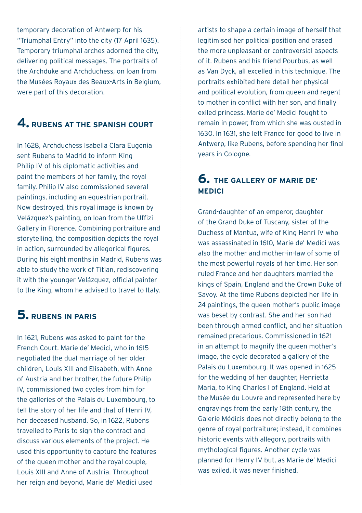temporary decoration of Antwerp for his "Triumphal Entry" into the city (17 April 1635). Temporary triumphal arches adorned the city, delivering political messages. The portraits of the Archduke and Archduchess, on loan from the Musées Royaux des Beaux-Arts in Belgium, were part of this decoration.

# **4. RUBENS AT THE SPANISH COURT**

In 1628, Archduchess Isabella Clara Eugenia sent Rubens to Madrid to inform King Philip IV of his diplomatic activities and paint the members of her family, the royal family. Philip IV also commissioned several paintings, including an equestrian portrait. Now destroyed, this royal image is known by Velázquez's painting, on loan from the Uffizi Gallery in Florence. Combining portraiture and storytelling, the composition depicts the royal in action, surrounded by allegorical figures. During his eight months in Madrid, Rubens was able to study the work of Titian, rediscovering it with the younger Velázquez, official painter to the King, whom he advised to travel to Italy.

# **5. DURENS IN PARIS**

In 1621, Rubens was asked to paint for the French Court. Marie de' Medici, who in 1615 negotiated the dual marriage of her older children, Louis XIII and Elisabeth, with Anne of Austria and her brother, the future Philip IV, commissioned two cycles from him for the galleries of the Palais du Luxembourg, to tell the story of her life and that of Henri IV, her deceased husband. So, in 1622, Rubens travelled to Paris to sign the contract and discuss various elements of the project. He used this opportunity to capture the features of the queen mother and the royal couple, Louis XIII and Anne of Austria. Throughout her reign and beyond, Marie de' Medici used

artists to shape a certain image of herself that legitimised her political position and erased the more unpleasant or controversial aspects of it. Rubens and his friend Pourbus, as well as Van Dyck, all excelled in this technique. The portraits exhibited here detail her physical and political evolution, from queen and regent to mother in conflict with her son, and finally exiled princess. Marie de' Medici fought to remain in power, from which she was ousted in 1630. In 1631, she left France for good to live in Antwerp, like Rubens, before spending her final years in Cologne.

# **6. THE GALLERY OF MARIE DE' MEDICI**

Grand-daughter of an emperor, daughter of the Grand Duke of Tuscany, sister of the Duchess of Mantua, wife of King Henri IV who was assassinated in 1610, Marie de' Medici was also the mother and mother-in-law of some of the most powerful royals of her time. Her son ruled France and her daughters married the kings of Spain, England and the Crown Duke of Savoy. At the time Rubens depicted her life in 24 paintings, the queen mother's public image was beset by contrast. She and her son had been through armed conflict, and her situation remained precarious. Commissioned in 1621 in an attempt to magnify the queen mother's image, the cycle decorated a gallery of the Palais du Luxembourg. It was opened in 1625 for the wedding of her daughter, Henrietta Maria, to King Charles I of England. Held at the Musée du Louvre and represented here by engravings from the early 18th century, the Galerie Médicis does not directly belong to the genre of royal portraiture; instead, it combines historic events with allegory, portraits with mythological figures. Another cycle was planned for Henry IV but, as Marie de' Medici was exiled, it was never finished.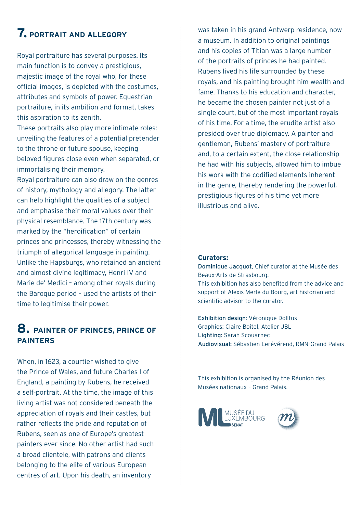# **7. PORTRAIT AND ALLEGORY**

Royal portraiture has several purposes. Its main function is to convey a prestigious, majestic image of the royal who, for these official images, is depicted with the costumes, attributes and symbols of power. Equestrian portraiture, in its ambition and format, takes this aspiration to its zenith.

These portraits also play more intimate roles: unveiling the features of a potential pretender to the throne or future spouse, keeping beloved figures close even when separated, or immortalising their memory.

Royal portraiture can also draw on the genres of history, mythology and allegory. The latter can help highlight the qualities of a subject and emphasise their moral values over their physical resemblance. The 17th century was marked by the "heroification" of certain princes and princesses, thereby witnessing the triumph of allegorical language in painting. Unlike the Hapsburgs, who retained an ancient and almost divine legitimacy, Henri IV and Marie de' Medici – among other royals during the Baroque period – used the artists of their time to legitimise their power.

# **8. PAINTER OF PRINCES, PRINCE OF PAINTERS**

When, in 1623, a courtier wished to give the Prince of Wales, and future Charles I of England, a painting by Rubens, he received a self-portrait. At the time, the image of this living artist was not considered beneath the appreciation of royals and their castles, but rather reflects the pride and reputation of Rubens, seen as one of Europe's greatest painters ever since. No other artist had such a broad clientele, with patrons and clients belonging to the elite of various European centres of art. Upon his death, an inventory

was taken in his grand Antwerp residence, now a museum. In addition to original paintings and his copies of Titian was a large number of the portraits of princes he had painted. Rubens lived his life surrounded by these royals, and his painting brought him wealth and fame. Thanks to his education and character, he became the chosen painter not just of a single court, but of the most important royals of his time. For a time, the erudite artist also presided over true diplomacy. A painter and gentleman, Rubens' mastery of portraiture and, to a certain extent, the close relationship he had with his subjects, allowed him to imbue his work with the codified elements inherent in the genre, thereby rendering the powerful, prestigious figures of his time yet more illustrious and alive.

# **Curators:**

Dominique Jacquot, Chief curator at the Musée des Beaux-Arts de Strasbourg. This exhibition has also benefited from the advice and support of Alexis Merle du Bourg, art historian and scientific advisor to the curator.

Exhibition design: Véronique Dollfus Graphics: Claire Boitel, Atelier JBL Lighting: Sarah Scouarnec Audiovisual: Sébastien Lerévérend, RMN-Grand Palais

This exhibition is organised by the Réunion des Musées nationaux – Grand Palais.

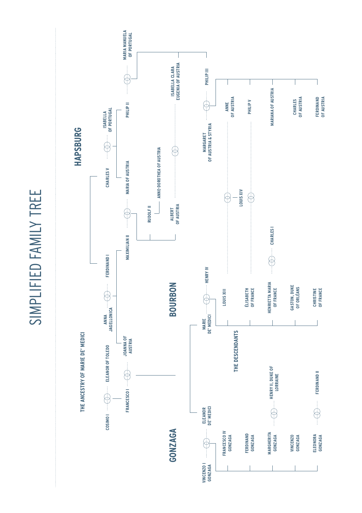SIMPLIFIED FAMILY TREE SIMPLIFIED FAMILY TREE

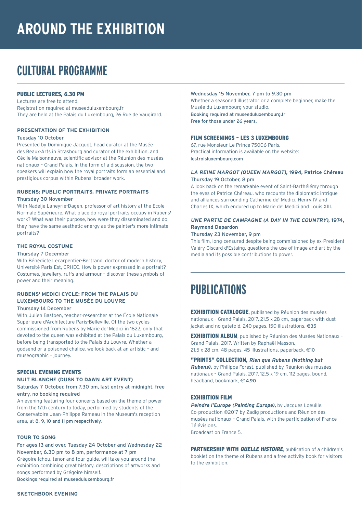# **AROUND THE EXHIBITION**

# **CULTURAL PROGRAMME**

# PUBLIC LECTURES, 6.30 PM

Lectures are free to attend. Registration required at museeduluxembourg.fr They are held at the Palais du Luxembourg, 26 Rue de Vaugirard.

# **PRESENTATION OF THE EXHIBITION**

### Tuesday 10 October

Presented by Dominique Jacquot, head curator at the Musée des Beaux-Arts in Strasbourg and curator of the exhibition, and Cécile Maisonneuve, scientific advisor at the Réunion des musées nationaux – Grand Palais. In the form of a discussion, the two speakers will explain how the royal portraits form an essential and prestigious corpus within Rubens' broader work.

# **RUBENS: PUBLIC PORTRAITS, PRIVATE PORTRAITS**

# Thursday 30 November

With Nadeije Laneyrie-Dagen, professor of art history at the Ecole Normale Supérieure. What place do royal portraits occupy in Rubens' work? What was their purpose, how were they disseminated and do they have the same aesthetic energy as the painter's more intimate portraits?

### **THE ROYAL COSTUME**

### Thursday 7 December

With Bénédicte Lecarpentier-Bertrand, doctor of modern history, Université Paris-Est, CRHEC. How is power expressed in a portrait? Costumes, jewellery, ruffs and armour – discover these symbols of power and their meaning.

# **RUBENS' MEDICI CYCLE: FROM THE PALAIS DU LUXEMBOURG TO THE MUSÉE DU LOUVRE**

# Thursday 14 December

With Julien Bastoen, teacher-researcher at the École Nationale Supérieure d'Architecture Paris-Belleville. Of the two cycles commissioned from Rubens by Marie de' Medici in 1622, only that devoted to the queen was exhibited at the Palais du Luxembourg, before being transported to the Palais du Louvre. Whether a godsend or a poisoned chalice, we look back at an artistic – and museographic – journey.

# SPECIAL EVENING EVENTS **NUIT BLANCHE (DUSK TO DAWN ART EVENT)**

# Saturday 7 October, from 7.30 pm, last entry at midnight, free entry, no booking required

An evening featuring four concerts based on the theme of power from the 17th century to today, performed by students of the Conservatoire Jean-Philippe Rameau in the Museum's reception area, at 8, 9, 10 and 11 pm respectively.

# **TOUR TO SONG**

# For ages 13 and over, Tuesday 24 October and Wednesday 22 November, 6.30 pm to 8 pm, performance at 7 pm

Grégoire Ichou, tenor and tour guide, will take you around the exhibition combining great history, descriptions of artworks and songs performed by Grégoire himself. Bookings required at museeduluxembourg.fr

### Wednesday 15 November, 7 pm to 9.30 pm

Whether a seasoned illustrator or a complete beginner, make the Musée du Luxembourg your studio. Booking required at museeduluxembourg.fr Free for those under 26 years.

### FILM SCREENINGS – LES 3 LUXEMBOURG

67, rue Monsieur Le Prince 75006 Paris. Practical information is available on the website: lestroisluxembourg.com

### **LA REINE MARGOT (QUEEN MARGOT), 1994, Patrice Chéreau** Thursday 19 October, 8 pm

A look back on the remarkable event of Saint-Barthélémy through the eyes of Patrice Chéreau, who recounts the diplomatic intrigue and alliances surrounding Catherine de' Medici, Henry IV and Charles IX, which endured up to Marie de' Medici and Louis XIII.

# **UNE PARTIE DE CAMPAGNE (A DAY IN THE COUNTRY), 1974, Raymond Depardon**

### Thursday 23 November, 9 pm

This film, long-censured despite being commissioned by ex-President Valéry Giscard d'Estaing, questions the use of image and art by the media and its possible contributions to power.

# **PUBLICATIONS**

EXHIBITION CATALOGUE, published by Réunion des musées nationaux – Grand Palais, 2017. 21.5 x 28 cm, paperback with dust iacket and no gatefold, 240 pages, 150 illustrations,  $\in$ 35

EXHIBITION ALBUM, published by Réunion des Musées Nationaux – Grand Palais, 2017. Written by Raphaël Masson. 21.5 x 28 cm, 48 pages, 45 illustrations, paperback,  $\in$ 10

"PRINTS" COLLECTION, **Rien que Rubens (Nothing but Rubens)**, by Philippe Forest, published by Réunion des musées nationaux – Grand Palais, 2017. 12.5 x 19 cm, 112 pages, bound, headband, bookmark, €14.90

# EXHIBITION FILM

**Peindre l'Europe (Painting Europe),** by Jacques Loeuille. Co-production ©2017 by Zadig productions and Réunion des musées nationaux – Grand Palais, with the participation of France Télévisions. Broadcast on France 5.

PARTNERSHIP WITH *QUELLE HISTOIRE*, publication of a children's booklet on the theme of Rubens and a free activity book for visitors to the exhibition.

# **SKETCHBOOK EVENING**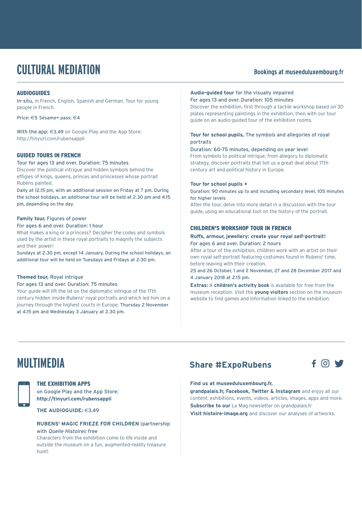# **CULTURAL MEDIATION** Bookings at museeduluxembourg.fr

# **AUDIOGUIDES**

In-situ, in French, English, Spanish and German. Tour for young people in French.

Price: €5 Sésame+ pass: €4

With the app:  $\in$ 3.49 on Google Play and the App Store: http://tinyurl.com/rubensappli

# GUIDED TOURS IN FRENCH

Tour for ages 13 and over. Duration: 75 minutes Discover the political intrigue and hidden symbols behind the effigies of kings, queens, princes and princesses whose portrait Rubens painted.

Daily at 12.15 pm, with an additional session on Friday at 7 pm. During the school holidays, an additional tour will be held at 2.30 pm and 4.15 pm, depending on the day.

### **Family tour,** Figures of power

### For ages 6 and over. Duration: 1 hour

What makes a king or a princess? Decipher the codes and symbols used by the artist in these royal portraits to magnify the subjects and their power!

Sundays at 2.30 pm, except 14 January. During the school holidays, an additional tour will be held on Tuesdays and Fridays at 2:30 pm.

### **Themed tour,** Royal intrigue

For ages 13 and over. Duration: 75 minutes Your quide will lift the lid on the diplomatic intrigue of the 17th

century hidden inside Rubens' royal portraits and which led him on a journey through the highest courts in Europe. Thursday 2 November at 4.15 pm and Wednesday 3 January at 2.30 pm.

# **Audio-guided tour** for the visually impaired

For ages 13 and over. Duration: 105 minutes Discover the exhibition, first through a tactile workshop based on 3D plates representing paintings in the exhibition, then with our tour guide on an audio-guided tour of the exhibition rooms.

# **Tour for school pupils,** The symbols and allegories of royal portraits

# Duration: 60-75 minutes, depending on year level

From symbols to political intrigue, from allegory to diplomatic strategy, discover portraits that tell us a great deal about 17th century art and political history in Europe.

### **Tour for school pupils +**

Duration: 90 minutes up to and including secondary level, 105 minutes for higher levels

After the tour, delve into more detail in a discussion with the tour guide, using an educational tool on the history of the portrait.

# CHILDREN'S WORKSHOP TOUR IN FRENCH

### **Ruffs, armour, jewellery: create your royal self-portrait!**  For ages 6 and over. Duration: 2 hours

After a tour of the exhibition, children work with an artist on their own royal self-portrait featuring costumes found in Rubens' time, before leaving with their creation.

25 and 26 October, 1 and 2 November, 27 and 28 December 2017 and 4 January 2018 at 2.15 pm.

**Extras:** A **children's activity book** is available for free from the museum reception. Visit the **young visitors** section on the museum website to find games and information linked to the exhibition.



### THE EXHIBITION APPS

on Google Play and the App Store: **http://tinyurl.com/rubensappli**

**THE AUDIOGUIDE:**  $\in$ 3.49

**RUBENS' MAGIC FRIEZE FOR CHILDREN** (partnership with Quelle Histoire) free

Characters from the exhibition come to life inside and outside the museum on a fun, augmented-reality treasure hunt!

# **MULTIMEDIA Share #ExpoRubens**



# **Find us at museeduluxembourg.fr,**

**grandpalais.fr, Facebook, Twitter & Instagram** and enjoy all our content: exhibitions, events, videos, articles, images, apps and more. **Subscribe to our** Le Mag newsletter on grandpalais.fr **Visit histoire-image.org** and discover our analyses of artworks.